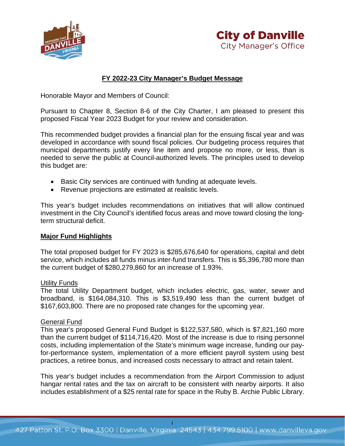



### **FY 2022-23 City Manager's Budget Message**

Honorable Mayor and Members of Council:

Pursuant to Chapter 8, Section 8-6 of the City Charter, I am pleased to present this proposed Fiscal Year 2023 Budget for your review and consideration.

This recommended budget provides a financial plan for the ensuing fiscal year and was developed in accordance with sound fiscal policies. Our budgeting process requires that municipal departments justify every line item and propose no more, or less, than is needed to serve the public at Council-authorized levels. The principles used to develop this budget are:

- Basic City services are continued with funding at adequate levels.
- Revenue projections are estimated at realistic levels.

This year's budget includes recommendations on initiatives that will allow continued investment in the City Council's identified focus areas and move toward closing the longterm structural deficit.

#### **Major Fund Highlights**

The total proposed budget for FY 2023 is \$285,676,640 for operations, capital and debt service, which includes all funds minus inter-fund transfers. This is \$5,396,780 more than the current budget of \$280,279,860 for an increase of 1.93%.

#### Utility Funds

The total Utility Department budget, which includes electric, gas, water, sewer and broadband, is \$164,084,310. This is \$3,519,490 less than the current budget of \$167,603,800. There are no proposed rate changes for the upcoming year.

#### General Fund

This year's proposed General Fund Budget is \$122,537,580, which is \$7,821,160 more than the current budget of \$114,716,420. Most of the increase is due to rising personnel costs, including implementation of the State's minimum wage increase, funding our payfor-performance system, implementation of a more efficient payroll system using best practices, a retiree bonus, and increased costs necessary to attract and retain talent.

This year's budget includes a recommendation from the Airport Commission to adjust hangar rental rates and the tax on aircraft to be consistent with nearby airports. It also includes establishment of a \$25 rental rate for space in the Ruby B. Archie Public Library.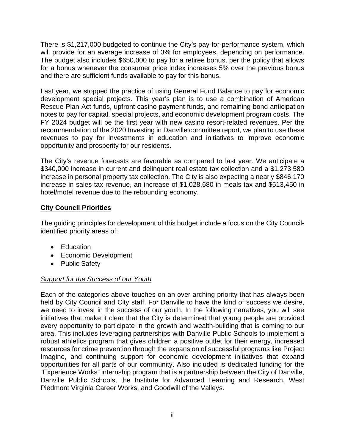There is \$1,217,000 budgeted to continue the City's pay-for-performance system, which will provide for an average increase of 3% for employees, depending on performance. The budget also includes \$650,000 to pay for a retiree bonus, per the policy that allows for a bonus whenever the consumer price index increases 5% over the previous bonus and there are sufficient funds available to pay for this bonus.

Last year, we stopped the practice of using General Fund Balance to pay for economic development special projects. This year's plan is to use a combination of American Rescue Plan Act funds, upfront casino payment funds, and remaining bond anticipation notes to pay for capital, special projects, and economic development program costs. The FY 2024 budget will be the first year with new casino resort-related revenues. Per the recommendation of the 2020 Investing in Danville committee report, we plan to use these revenues to pay for investments in education and initiatives to improve economic opportunity and prosperity for our residents.

The City's revenue forecasts are favorable as compared to last year. We anticipate a \$340,000 increase in current and delinquent real estate tax collection and a \$1,273,580 increase in personal property tax collection. The City is also expecting a nearly \$846,170 increase in sales tax revenue, an increase of \$1,028,680 in meals tax and \$513,450 in hotel/motel revenue due to the rebounding economy.

## **City Council Priorities**

The guiding principles for development of this budget include a focus on the City Councilidentified priority areas of:

- Education
- Economic Development
- Public Safety

## *Support for the Success of our Youth*

Each of the categories above touches on an over-arching priority that has always been held by City Council and City staff. For Danville to have the kind of success we desire, we need to invest in the success of our youth. In the following narratives, you will see initiatives that make it clear that the City is determined that young people are provided every opportunity to participate in the growth and wealth-building that is coming to our area. This includes leveraging partnerships with Danville Public Schools to implement a robust athletics program that gives children a positive outlet for their energy, increased resources for crime prevention through the expansion of successful programs like Project Imagine, and continuing support for economic development initiatives that expand opportunities for all parts of our community. Also included is dedicated funding for the "Experience Works" internship program that is a partnership between the City of Danville, Danville Public Schools, the Institute for Advanced Learning and Research, West Piedmont Virginia Career Works, and Goodwill of the Valleys.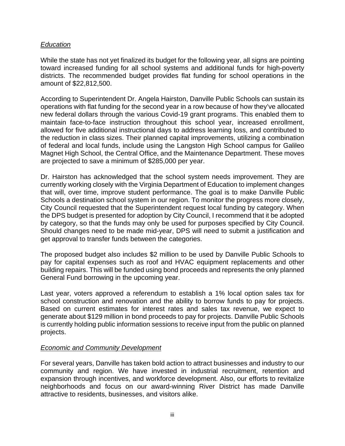### *Education*

While the state has not yet finalized its budget for the following year, all signs are pointing toward increased funding for all school systems and additional funds for high-poverty districts. The recommended budget provides flat funding for school operations in the amount of \$22,812,500.

According to Superintendent Dr. Angela Hairston, Danville Public Schools can sustain its operations with flat funding for the second year in a row because of how they've allocated new federal dollars through the various Covid-19 grant programs. This enabled them to maintain face-to-face instruction throughout this school year, increased enrollment, allowed for five additional instructional days to address learning loss, and contributed to the reduction in class sizes. Their planned capital improvements, utilizing a combination of federal and local funds, include using the Langston High School campus for Galileo Magnet High School, the Central Office, and the Maintenance Department. These moves are projected to save a minimum of \$285,000 per year.

Dr. Hairston has acknowledged that the school system needs improvement. They are currently working closely with the Virginia Department of Education to implement changes that will, over time, improve student performance. The goal is to make Danville Public Schools a destination school system in our region. To monitor the progress more closely, City Council requested that the Superintendent request local funding by category. When the DPS budget is presented for adoption by City Council, I recommend that it be adopted by category, so that the funds may only be used for purposes specified by City Council. Should changes need to be made mid-year, DPS will need to submit a justification and get approval to transfer funds between the categories.

The proposed budget also includes \$2 million to be used by Danville Public Schools to pay for capital expenses such as roof and HVAC equipment replacements and other building repairs. This will be funded using bond proceeds and represents the only planned General Fund borrowing in the upcoming year.

Last year, voters approved a referendum to establish a 1% local option sales tax for school construction and renovation and the ability to borrow funds to pay for projects. Based on current estimates for interest rates and sales tax revenue, we expect to generate about \$129 million in bond proceeds to pay for projects. Danville Public Schools is currently holding public information sessions to receive input from the public on planned projects.

### *Economic and Community Development*

For several years, Danville has taken bold action to attract businesses and industry to our community and region. We have invested in industrial recruitment, retention and expansion through incentives, and workforce development. Also, our efforts to revitalize neighborhoods and focus on our award-winning River District has made Danville attractive to residents, businesses, and visitors alike.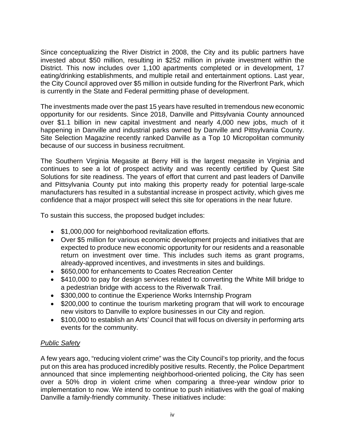Since conceptualizing the River District in 2008, the City and its public partners have invested about \$50 million, resulting in \$252 million in private investment within the District. This now includes over 1,100 apartments completed or in development, 17 eating/drinking establishments, and multiple retail and entertainment options. Last year, the City Council approved over \$5 million in outside funding for the Riverfront Park, which is currently in the State and Federal permitting phase of development.

The investments made over the past 15 years have resulted in tremendous new economic opportunity for our residents. Since 2018, Danville and Pittsylvania County announced over \$1.1 billion in new capital investment and nearly 4,000 new jobs, much of it happening in Danville and industrial parks owned by Danville and Pittsylvania County. Site Selection Magazine recently ranked Danville as a Top 10 Micropolitan community because of our success in business recruitment.

The Southern Virginia Megasite at Berry Hill is the largest megasite in Virginia and continues to see a lot of prospect activity and was recently certified by Quest Site Solutions for site readiness. The years of effort that current and past leaders of Danville and Pittsylvania County put into making this property ready for potential large-scale manufacturers has resulted in a substantial increase in prospect activity, which gives me confidence that a major prospect will select this site for operations in the near future.

To sustain this success, the proposed budget includes:

- \$1,000,000 for neighborhood revitalization efforts.
- Over \$5 million for various economic development projects and initiatives that are expected to produce new economic opportunity for our residents and a reasonable return on investment over time. This includes such items as grant programs, already-approved incentives, and investments in sites and buildings.
- \$650,000 for enhancements to Coates Recreation Center
- \$410,000 to pay for design services related to converting the White Mill bridge to a pedestrian bridge with access to the Riverwalk Trail.
- \$300,000 to continue the Experience Works Internship Program
- \$200,000 to continue the tourism marketing program that will work to encourage new visitors to Danville to explore businesses in our City and region.
- \$100,000 to establish an Arts' Council that will focus on diversity in performing arts events for the community.

# *Public Safety*

A few years ago, "reducing violent crime" was the City Council's top priority, and the focus put on this area has produced incredibly positive results. Recently, the Police Department announced that since implementing neighborhood-oriented policing, the City has seen over a 50% drop in violent crime when comparing a three-year window prior to implementation to now. We intend to continue to push initiatives with the goal of making Danville a family-friendly community. These initiatives include: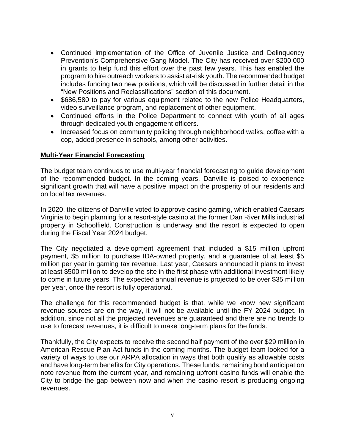- Continued implementation of the Office of Juvenile Justice and Delinquency Prevention's Comprehensive Gang Model. The City has received over \$200,000 in grants to help fund this effort over the past few years. This has enabled the program to hire outreach workers to assist at-risk youth. The recommended budget includes funding two new positions, which will be discussed in further detail in the "New Positions and Reclassifications" section of this document.
- \$686,580 to pay for various equipment related to the new Police Headquarters, video surveillance program, and replacement of other equipment.
- Continued efforts in the Police Department to connect with youth of all ages through dedicated youth engagement officers.
- Increased focus on community policing through neighborhood walks, coffee with a cop, added presence in schools, among other activities.

### **Multi-Year Financial Forecasting**

The budget team continues to use multi-year financial forecasting to guide development of the recommended budget. In the coming years, Danville is poised to experience significant growth that will have a positive impact on the prosperity of our residents and on local tax revenues.

In 2020, the citizens of Danville voted to approve casino gaming, which enabled Caesars Virginia to begin planning for a resort-style casino at the former Dan River Mills industrial property in Schoolfield. Construction is underway and the resort is expected to open during the Fiscal Year 2024 budget.

The City negotiated a development agreement that included a \$15 million upfront payment, \$5 million to purchase IDA-owned property, and a guarantee of at least \$5 million per year in gaming tax revenue. Last year, Caesars announced it plans to invest at least \$500 million to develop the site in the first phase with additional investment likely to come in future years. The expected annual revenue is projected to be over \$35 million per year, once the resort is fully operational.

The challenge for this recommended budget is that, while we know new significant revenue sources are on the way, it will not be available until the FY 2024 budget. In addition, since not all the projected revenues are guaranteed and there are no trends to use to forecast revenues, it is difficult to make long-term plans for the funds.

Thankfully, the City expects to receive the second half payment of the over \$29 million in American Rescue Plan Act funds in the coming months. The budget team looked for a variety of ways to use our ARPA allocation in ways that both qualify as allowable costs and have long-term benefits for City operations. These funds, remaining bond anticipation note revenue from the current year, and remaining upfront casino funds will enable the City to bridge the gap between now and when the casino resort is producing ongoing revenues.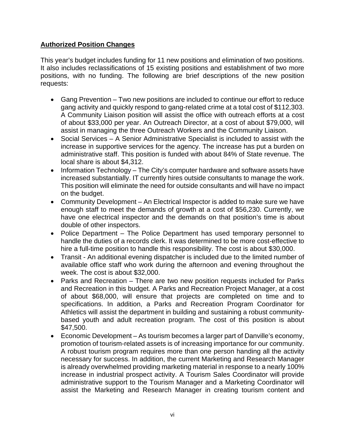## **Authorized Position Changes**

This year's budget includes funding for 11 new positions and elimination of two positions. It also includes reclassifications of 15 existing positions and establishment of two more positions, with no funding. The following are brief descriptions of the new position requests:

- Gang Prevention Two new positions are included to continue our effort to reduce gang activity and quickly respond to gang-related crime at a total cost of \$112,303. A Community Liaison position will assist the office with outreach efforts at a cost of about \$33,000 per year. An Outreach Director, at a cost of about \$79,000, will assist in managing the three Outreach Workers and the Community Liaison.
- Social Services A Senior Administrative Specialist is included to assist with the increase in supportive services for the agency. The increase has put a burden on administrative staff. This position is funded with about 84% of State revenue. The local share is about \$4,312.
- Information Technology The City's computer hardware and software assets have increased substantially. IT currently hires outside consultants to manage the work. This position will eliminate the need for outside consultants and will have no impact on the budget.
- Community Development An Electrical Inspector is added to make sure we have enough staff to meet the demands of growth at a cost of \$56,230. Currently, we have one electrical inspector and the demands on that position's time is about double of other inspectors.
- Police Department The Police Department has used temporary personnel to handle the duties of a records clerk. It was determined to be more cost-effective to hire a full-time position to handle this responsibility. The cost is about \$30,000.
- Transit An additional evening dispatcher is included due to the limited number of available office staff who work during the afternoon and evening throughout the week. The cost is about \$32,000.
- Parks and Recreation There are two new position requests included for Parks and Recreation in this budget. A Parks and Recreation Project Manager, at a cost of about \$68,000, will ensure that projects are completed on time and to specifications. In addition, a Parks and Recreation Program Coordinator for Athletics will assist the department in building and sustaining a robust communitybased youth and adult recreation program. The cost of this position is about \$47,500.
- Economic Development As tourism becomes a larger part of Danville's economy, promotion of tourism-related assets is of increasing importance for our community. A robust tourism program requires more than one person handing all the activity necessary for success. In addition, the current Marketing and Research Manager is already overwhelmed providing marketing material in response to a nearly 100% increase in industrial prospect activity. A Tourism Sales Coordinator will provide administrative support to the Tourism Manager and a Marketing Coordinator will assist the Marketing and Research Manager in creating tourism content and